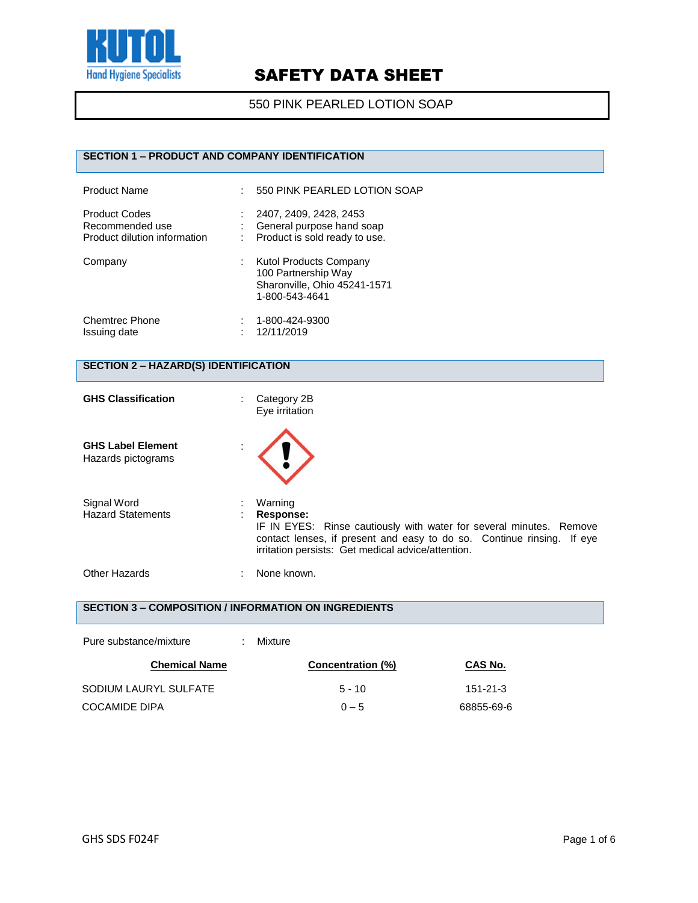

#### 550 PINK PEARLED LOTION SOAP

### **SECTION 1 – PRODUCT AND COMPANY IDENTIFICATION**

| <b>Product Name</b>                                                     | 550 PINK PEARLED LOTION SOAP                                                                           |
|-------------------------------------------------------------------------|--------------------------------------------------------------------------------------------------------|
| <b>Product Codes</b><br>Recommended use<br>Product dilution information | 2407, 2409, 2428, 2453<br>General purpose hand soap<br>Product is sold ready to use.                   |
| Company                                                                 | <b>Kutol Products Company</b><br>100 Partnership Way<br>Sharonville, Ohio 45241-1571<br>1-800-543-4641 |
| <b>Chemtrec Phone</b><br>Issuing date                                   | 1-800-424-9300<br>12/11/2019                                                                           |

### **SECTION 2 – HAZARD(S) IDENTIFICATION**

| <b>GHS Classification</b>                      | Category 2B<br>Eye irritation                                                                                                                                                                                               |  |
|------------------------------------------------|-----------------------------------------------------------------------------------------------------------------------------------------------------------------------------------------------------------------------------|--|
| <b>GHS Label Element</b><br>Hazards pictograms |                                                                                                                                                                                                                             |  |
| Signal Word<br><b>Hazard Statements</b>        | Warning<br>Response:<br>IF IN EYES: Rinse cautiously with water for several minutes. Remove<br>contact lenses, if present and easy to do so. Continue rinsing. If eye<br>irritation persists: Get medical advice/attention. |  |
| Other Hazards                                  | None known.                                                                                                                                                                                                                 |  |

#### **SECTION 3 – COMPOSITION / INFORMATION ON INGREDIENTS**

| Pure substance/mixture | ٠ | Mixture |                          |                |
|------------------------|---|---------|--------------------------|----------------|
| <b>Chemical Name</b>   |   |         | <b>Concentration (%)</b> | CAS No.        |
| SODIUM LAURYL SULFATE  |   |         | $5 - 10$                 | $151 - 21 - 3$ |
| <b>COCAMIDE DIPA</b>   |   |         | $0 - 5$                  | 68855-69-6     |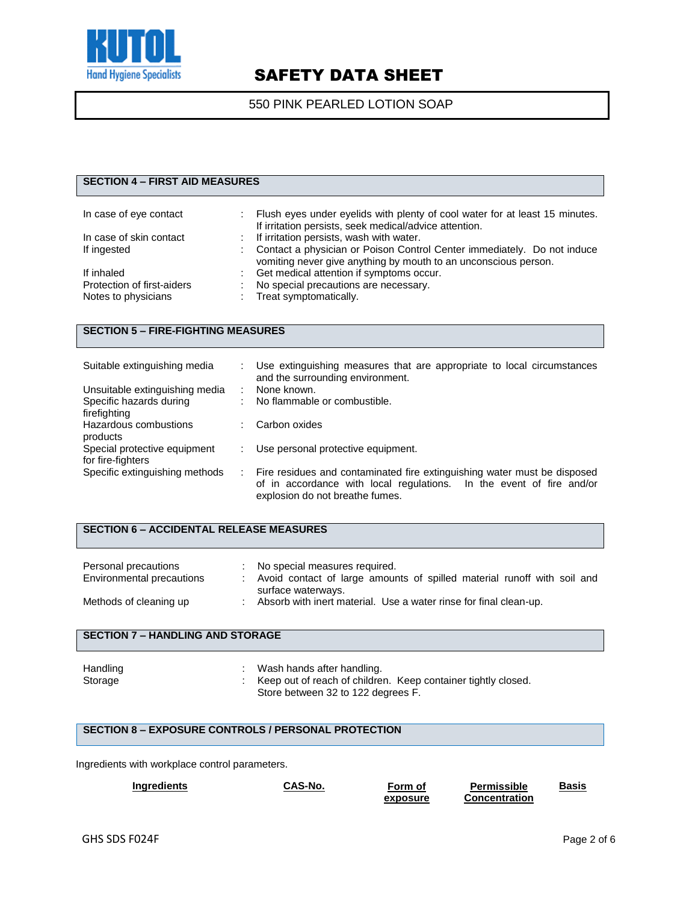

### 550 PINK PEARLED LOTION SOAP

### **SECTION 4 – FIRST AID MEASURES** In case of eye contact : Flush eyes under eyelids with plenty of cool water for at least 15 minutes. If irritation persists, seek medical/advice attention. In case of skin contact : If irritation persists, wash with water. If ingested : Contact a physician or Poison Control Center immediately. Do not induce vomiting never give anything by mouth to an unconscious person. If inhaled  $\begin{array}{ccc} \text{If } \text{inhaled} \\ \text{Protection of first-aiders} \end{array}$  :  $\begin{array}{ccc} \text{Get medical attention if } \text{symptoms occur.} \end{array}$ Protection of first-aiders : No special precautions are necessary.<br>
Notes to physicians : Treat symptomatically. : Treat symptomatically.

#### **SECTION 5 – FIRE-FIGHTING MEASURES**

| Suitable extinguishing media   |   | Use extinguishing measures that are appropriate to local circumstances<br>and the surrounding environment. |
|--------------------------------|---|------------------------------------------------------------------------------------------------------------|
| Unsuitable extinguishing media |   | None known.                                                                                                |
| Specific hazards during        |   | No flammable or combustible.                                                                               |
| firefighting                   |   |                                                                                                            |
| Hazardous combustions          |   | Carbon oxides                                                                                              |
| products                       |   |                                                                                                            |
| Special protective equipment   |   | Use personal protective equipment.                                                                         |
| for fire-fighters              |   |                                                                                                            |
| Specific extinguishing methods | ÷ | Fire residues and contaminated fire extinguishing water must be disposed                                   |
|                                |   | of in accordance with local regulations. In the event of fire and/or                                       |
|                                |   | explosion do not breathe fumes.                                                                            |

#### **SECTION 6 – ACCIDENTAL RELEASE MEASURES**

| Personal precautions<br>Environmental precautions | No special measures required.<br>Avoid contact of large amounts of spilled material runoff with soil and<br>surface waterways. |
|---------------------------------------------------|--------------------------------------------------------------------------------------------------------------------------------|
| Methods of cleaning up                            | Absorb with inert material. Use a water rinse for final clean-up.                                                              |

#### **SECTION 7 – HANDLING AND STORAGE**

#### **SECTION 8 – EXPOSURE CONTROLS / PERSONAL PROTECTION**

Ingredients with workplace control parameters.

| <b>Ingredients</b> | CAS-No. | Form of  | <b>Permissible</b>   | Basis |
|--------------------|---------|----------|----------------------|-------|
|                    |         | exposure | <b>Concentration</b> |       |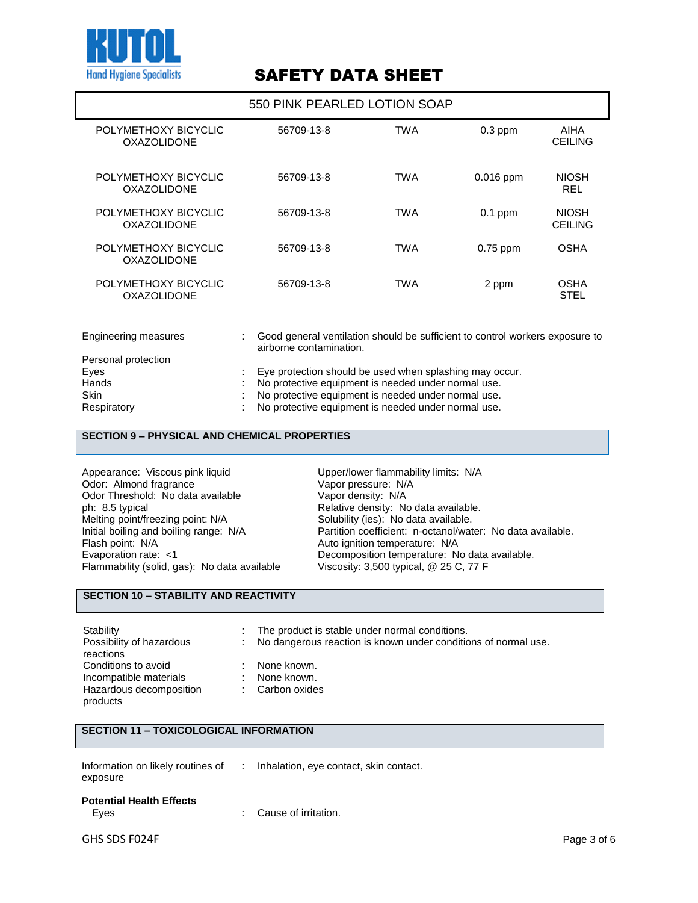

|                                            | 550 PINK PEARLED LOTION SOAP                                                                            |     |             |                                |
|--------------------------------------------|---------------------------------------------------------------------------------------------------------|-----|-------------|--------------------------------|
| POLYMETHOXY BICYCLIC<br><b>OXAZOLIDONE</b> | 56709-13-8                                                                                              | TWA | $0.3$ ppm   | <b>AIHA</b><br><b>CEILING</b>  |
| POLYMETHOXY BICYCLIC<br><b>OXAZOLIDONE</b> | 56709-13-8                                                                                              | TWA | $0.016$ ppm | <b>NIOSH</b><br><b>REL</b>     |
| POLYMETHOXY BICYCLIC<br><b>OXAZOLIDONE</b> | 56709-13-8                                                                                              | TWA | $0.1$ ppm   | <b>NIOSH</b><br><b>CEILING</b> |
| POLYMETHOXY BICYCLIC<br><b>OXAZOLIDONE</b> | 56709-13-8                                                                                              | TWA | $0.75$ ppm  | <b>OSHA</b>                    |
| POLYMETHOXY BICYCLIC<br><b>OXAZOLIDONE</b> | 56709-13-8                                                                                              | TWA | 2 ppm       | OSHA<br><b>STEL</b>            |
| <b>Engineering measures</b>                | Good general ventilation should be sufficient to control workers exposure to<br>airborne contamination. |     |             |                                |

| Personal protection |                                                         |
|---------------------|---------------------------------------------------------|
| Eyes                | Eye protection should be used when splashing may occur. |
| Hands               | No protective equipment is needed under normal use.     |
| <b>Skin</b>         | No protective equipment is needed under normal use.     |
| Respiratory         | No protective equipment is needed under normal use.     |

#### **SECTION 9 – PHYSICAL AND CHEMICAL PROPERTIES**

Appearance: Viscous pink liquid<br>
Odor: Almond fragrance<br>
Vapor pressure: N/A Odor: Almond fragrance vapor vapor pressure: N/<br>Odor Threshold: No data available vapor density: N/A Odor Threshold: No data available ph: 8.5 typical ph: 8.5 typical **Phenomenon Community: Relative density:** No data available.<br>
Melting point/freezing point: N/A Solubility (ies): No data available. Melting point/freezing point: N/A Solubility (ies): No data available.<br>
Initial boiling and boiling range: N/A Partition coefficient: n-octanol/wat Flash point: N/A Auto ignition temperature: N/A Flammability (solid, gas): No data available

Initial boiling and boiling range: N/A Partition coefficient: n-octanol/water: No data available.<br>Flash point: N/A Auto ignition temperature: N/A Decomposition temperature: No data available.<br>Viscosity: 3,500 typical, @ 25 C, 77 F

### **SECTION 10 – STABILITY AND REACTIVITY**

| Stability<br>Possibility of hazardous<br>reactions                                   | The product is stable under normal conditions.<br>No dangerous reaction is known under conditions of normal use. |
|--------------------------------------------------------------------------------------|------------------------------------------------------------------------------------------------------------------|
| Conditions to avoid<br>Incompatible materials<br>Hazardous decomposition<br>products | None known.<br>None known.<br>Carbon oxides                                                                      |

#### **SECTION 11 – TOXICOLOGICAL INFORMATION**

| exposure                        | Information on likely routines of : Inhalation, eye contact, skin contact. |
|---------------------------------|----------------------------------------------------------------------------|
| <b>Potential Health Effects</b> |                                                                            |

### Eyes : Cause of irritation.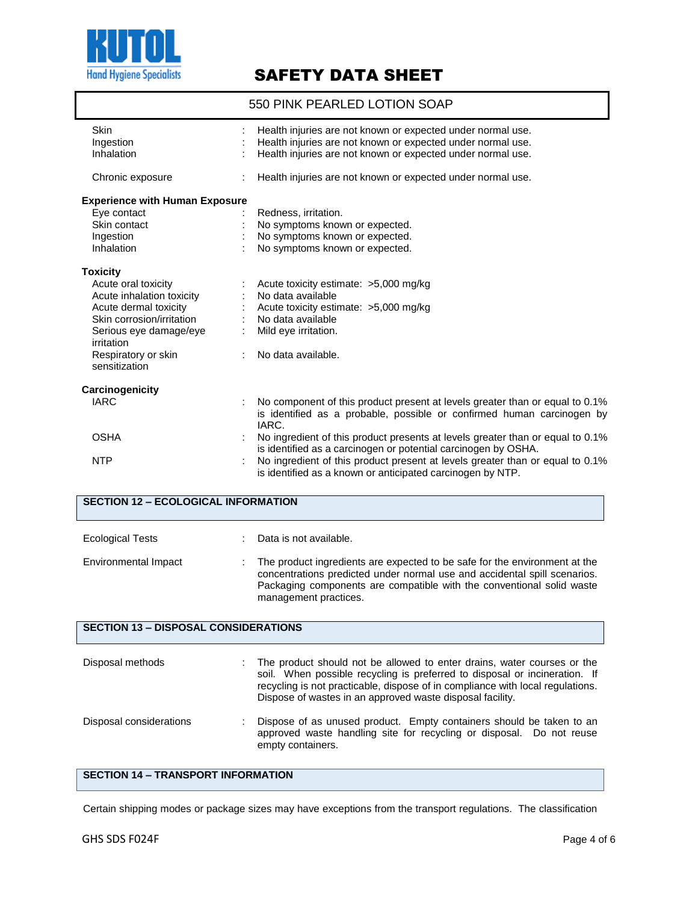

550 PINK PEARLED LOTION SOAP

| Skin                                        | Health injuries are not known or expected under normal use.                                                                                           |
|---------------------------------------------|-------------------------------------------------------------------------------------------------------------------------------------------------------|
| Ingestion                                   | Health injuries are not known or expected under normal use.                                                                                           |
| Inhalation                                  | Health injuries are not known or expected under normal use.                                                                                           |
|                                             |                                                                                                                                                       |
| Chronic exposure                            | Health injuries are not known or expected under normal use.                                                                                           |
| <b>Experience with Human Exposure</b>       |                                                                                                                                                       |
| Eye contact                                 | Redness, irritation.                                                                                                                                  |
| Skin contact                                | No symptoms known or expected.                                                                                                                        |
| Ingestion                                   | No symptoms known or expected.                                                                                                                        |
| Inhalation                                  | No symptoms known or expected.                                                                                                                        |
| <b>Toxicity</b>                             |                                                                                                                                                       |
| Acute oral toxicity                         | Acute toxicity estimate: >5,000 mg/kg                                                                                                                 |
| Acute inhalation toxicity                   | No data available                                                                                                                                     |
| Acute dermal toxicity                       | Acute toxicity estimate: >5,000 mg/kg                                                                                                                 |
| Skin corrosion/irritation                   | No data available                                                                                                                                     |
| Serious eye damage/eye<br>irritation        | Mild eye irritation.                                                                                                                                  |
| Respiratory or skin                         | No data available.                                                                                                                                    |
| sensitization                               |                                                                                                                                                       |
| Carcinogenicity                             |                                                                                                                                                       |
| <b>IARC</b>                                 | No component of this product present at levels greater than or equal to 0.1%                                                                          |
|                                             | is identified as a probable, possible or confirmed human carcinogen by<br>IARC.                                                                       |
| <b>OSHA</b>                                 | No ingredient of this product presents at levels greater than or equal to 0.1%                                                                        |
|                                             | is identified as a carcinogen or potential carcinogen by OSHA.                                                                                        |
| <b>NTP</b>                                  | No ingredient of this product present at levels greater than or equal to 0.1%<br>is identified as a known or anticipated carcinogen by NTP.           |
|                                             |                                                                                                                                                       |
| <b>SECTION 12 - ECOLOGICAL INFORMATION</b>  |                                                                                                                                                       |
|                                             |                                                                                                                                                       |
| <b>Ecological Tests</b>                     | Data is not available.                                                                                                                                |
|                                             |                                                                                                                                                       |
| Environmental Impact                        | The product ingredients are expected to be safe for the environment at the                                                                            |
|                                             | concentrations predicted under normal use and accidental spill scenarios.                                                                             |
|                                             | Packaging components are compatible with the conventional solid waste                                                                                 |
|                                             | management practices.                                                                                                                                 |
| <b>SECTION 13 - DISPOSAL CONSIDERATIONS</b> |                                                                                                                                                       |
|                                             |                                                                                                                                                       |
|                                             |                                                                                                                                                       |
| Disposal methods                            | The product should not be allowed to enter drains, water courses or the<br>soil. When possible recycling is preferred to disposal or incineration. If |
|                                             | recycling is not practicable, dispose of in compliance with local regulations.                                                                        |
|                                             | Dispose of wastes in an approved waste disposal facility.                                                                                             |
|                                             |                                                                                                                                                       |
| Disposal considerations                     | Dispose of as unused product. Empty containers should be taken to an                                                                                  |
|                                             | approved waste handling site for recycling or disposal. Do not reuse                                                                                  |
|                                             | empty containers.                                                                                                                                     |
|                                             |                                                                                                                                                       |

### **SECTION 14 – TRANSPORT INFORMATION**

Certain shipping modes or package sizes may have exceptions from the transport regulations. The classification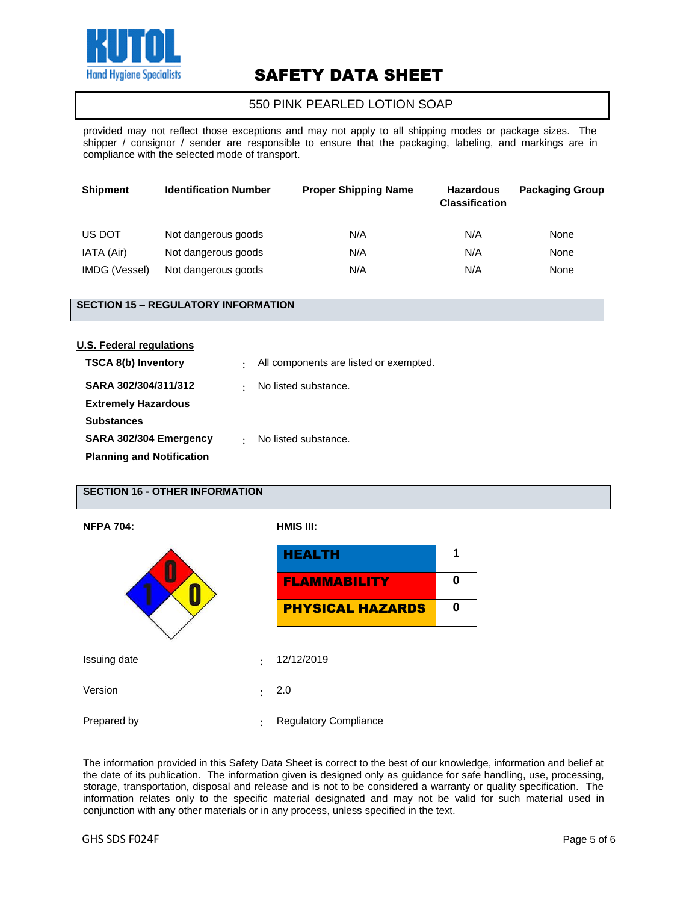

### 550 PINK PEARLED LOTION SOAP

provided may not reflect those exceptions and may not apply to all shipping modes or package sizes. The shipper / consignor / sender are responsible to ensure that the packaging, labeling, and markings are in compliance with the selected mode of transport.

| <b>Shipment</b> | <b>Identification Number</b> | <b>Proper Shipping Name</b> | <b>Hazardous</b><br><b>Classification</b> | <b>Packaging Group</b> |
|-----------------|------------------------------|-----------------------------|-------------------------------------------|------------------------|
| US DOT          | Not dangerous goods          | N/A                         | N/A                                       | None                   |
| IATA (Air)      | Not dangerous goods          | N/A                         | N/A                                       | None                   |
| IMDG (Vessel)   | Not dangerous goods          | N/A                         | N/A                                       | None                   |

#### **SECTION 15 – REGULATORY INFORMATION**

| U.S. Federal regulations         |   |                                        |
|----------------------------------|---|----------------------------------------|
| <b>TSCA 8(b) Inventory</b>       | ٠ | All components are listed or exempted. |
| SARA 302/304/311/312             | ٠ | No listed substance.                   |
| <b>Extremely Hazardous</b>       |   |                                        |
| <b>Substances</b>                |   |                                        |
| SARA 302/304 Emergency           | ٠ | No listed substance.                   |
| <b>Planning and Notification</b> |   |                                        |

### **SECTION 16 - OTHER INFORMATION**

| <b>NFPA 704:</b> |                     | HMIS III:                    |   |  |
|------------------|---------------------|------------------------------|---|--|
|                  | <b>HEALTH</b>       | 1                            |   |  |
|                  | <b>FLAMMABILITY</b> | 0                            |   |  |
|                  |                     | <b>PHYSICAL HAZARDS</b>      | 0 |  |
|                  |                     |                              |   |  |
| Issuing date     | $\ddot{\cdot}$      | 12/12/2019                   |   |  |
| Version          | $\ddot{\cdot}$      | 2.0                          |   |  |
| Prepared by      | $\ddot{\cdot}$      | <b>Regulatory Compliance</b> |   |  |

The information provided in this Safety Data Sheet is correct to the best of our knowledge, information and belief at the date of its publication. The information given is designed only as guidance for safe handling, use, processing, storage, transportation, disposal and release and is not to be considered a warranty or quality specification. The information relates only to the specific material designated and may not be valid for such material used in conjunction with any other materials or in any process, unless specified in the text.